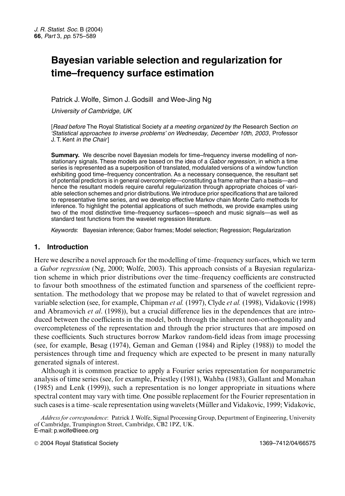# **Bayesian variable selection and regularization for time–frequency surface estimation**

# Patrick J. Wolfe, Simon J. Godsill and Wee-Jing Ng

*University of Cambridge, UK*

[*Read before* The Royal Statistical Society *at a meeting organized by the* Research Section *on 'Statistical approaches to inverse problems' on Wednesday, December 10th, 2003*, Professor J. T. Kent *in the Chair*]

**Summary.** We describe novel Bayesian models for time–frequency inverse modelling of nonstationary signals. These models are based on the idea of a *Gabor regression*, in which a time series is represented as a superposition of translated, modulated versions of a window function exhibiting good time–frequency concentration. As a necessary consequence, the resultant set of potential predictors is in general overcomplete—constituting a frame rather than a basis—and hence the resultant models require careful regularization through appropriate choices of variable selection schemes and prior distributions.We introduce prior specifications that are tailored to representative time series, and we develop effective Markov chain Monte Carlo methods for inference. To highlight the potential applications of such methods, we provide examples using two of the most distinctive time–frequency surfaces—speech and music signals—as well as standard test functions from the wavelet regression literature.

*Keywords*: Bayesian inference; Gabor frames; Model selection; Regression; Regularization

# **1. Introduction**

Here we describe a novel approach for the modelling of time–frequency surfaces, which we term a *Gabor regression* (Ng, 2000; Wolfe, 2003). This approach consists of a Bayesian regularization scheme in which prior distributions over the time–frequency coefficients are constructed to favour both smoothness of the estimated function and sparseness of the coefficient representation. The methodology that we propose may be related to that of wavelet regression and variable selection (see, for example, Chipman *et al.* (1997), Clyde *et al.* (1998), Vidakovic (1998) and Abramovich *et al*. (1998)), but a crucial difference lies in the dependences that are introduced between the coefficients in the model, both through the inherent non-orthogonality and overcompleteness of the representation and through the prior structures that are imposed on these coefficients. Such structures borrow Markov random-field ideas from image processing (see, for example, Besag (1974), Geman and Geman (1984) and Ripley (1988)) to model the persistences through time and frequency which are expected to be present in many naturally generated signals of interest.

Although it is common practice to apply a Fourier series representation for nonparametric analysis of time series (see, for example, Priestley (1981), Wahba (1983), Gallant and Monahan (1985) and Lenk (1999)), such a representation is no longer appropriate in situations where spectral content may vary with time. One possible replacement for the Fourier representation in such cases is a time–scale representation using wavelets (Müller and Vidakovic, 1999; Vidakovic,

*Address for correspondence*: Patrick J. Wolfe, Signal Processing Group, Department of Engineering, University of Cambridge, Trumpington Street, Cambridge, CB2 1PZ, UK. E-mail: p.wolfe@ieee.org

2004 Royal Statistical Society 1369–7412/04/66575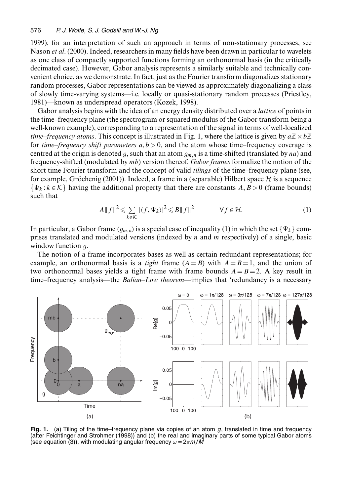1999); for an interpretation of such an approach in terms of non-stationary processes, see Nason *et al*. (2000). Indeed, researchers in many fields have been drawn in particular to wavelets as one class of compactly supported functions forming an orthonormal basis (in the critically decimated case). However, Gabor analysis represents a similarly suitable and technically convenient choice, as we demonstrate. In fact, just as the Fourier transform diagonalizes stationary random processes, Gabor representations can be viewed as approximately diagonalizing a class of slowly time-varying systems—i.e. locally or quasi-stationary random processes (Priestley, 1981)—known as underspread operators (Kozek, 1998).

Gabor analysis begins with the idea of an energy density distributed over a *lattice* of points in the time–frequency plane (the spectrogram or squared modulus of the Gabor transform being a well-known example), corresponding to a representation of the signal in terms of well-localized *time–frequency atoms*. This concept is illustrated in Fig. 1, where the lattice is given by  $a\mathbb{Z} \times b\mathbb{Z}$ for *time–frequency shift parameters*  $a, b > 0$ , and the atom whose time–frequency coverage is centred at the origin is denoted g, such that an atom  $g_{m,n}$  is a time-shifted (translated by na) and frequency-shifted (modulated by mb) version thereof. *Gabor frames* formalize the notion of the short time Fourier transform and the concept of valid *tilings* of the time–frequency plane (see, for example, Gröchenig (2001)). Indeed, a frame in a (separable) Hilbert space  $H$  is a sequence  $\{\Psi_k : k \in \mathcal{K}\}\$  having the additional property that there are constants  $A, B > 0$  (frame bounds) such that

$$
A||f||^2 \leqslant \sum_{k \in \mathcal{K}} |\langle f, \Psi_k \rangle|^2 \leqslant B||f||^2 \qquad \forall f \in \mathcal{H}.
$$
 (1)

In particular, a Gabor frame  $(g_{m,n})$  is a special case of inequality (1) in which the set  $\{\Psi_k\}$  comprises translated and modulated versions (indexed by  $n$  and  $m$  respectively) of a single, basic window function q.

The notion of a frame incorporates bases as well as certain redundant representations; for example, an orthonormal basis is a *tight* frame  $(A = B)$  with  $A = B = 1$ , and the union of two orthonormal bases yields a tight frame with frame bounds  $A=B=2$ . A key result in time–frequency analysis—the *Balian–Low theorem*—implies that 'redundancy is a necessary



**Fig. 1.** (a) Tiling of the time–frequency plane via copies of an atom *g*, translated in time and frequency (after Feichtinger and Strohmer (1998)) and (b) the real and imaginary parts of some typical Gabor atoms (see equation (3)), with modulating angular frequency  $\omega = 2\pi m/\tilde{M}$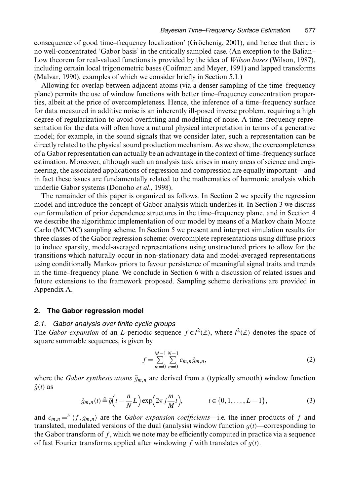consequence of good time–frequency localization' (Gröchenig, 2001), and hence that there is no well-concentrated 'Gabor basis' in the critically sampled case. (An exception to the Balian– Low theorem for real-valued functions is provided by the idea of *Wilson bases* (Wilson, 1987), including certain local trigonometric bases (Coifman and Meyer, 1991) and lapped transforms (Malvar, 1990), examples of which we consider briefly in Section 5.1.)

Allowing for overlap between adjacent atoms (via a denser sampling of the time–frequency plane) permits the use of window functions with better time–frequency concentration properties, albeit at the price of overcompleteness. Hence, the inference of a time–frequency surface for data measured in additive noise is an inherently ill-posed inverse problem, requiring a high degree of regularization to avoid overfitting and modelling of noise. A time–frequency representation for the data will often have a natural physical interpretation in terms of a generative model; for example, in the sound signals that we consider later, such a representation can be directly related to the physical sound production mechanism. As we show, the overcompleteness of a Gabor representation can actually be an advantage in the context of time–frequency surface estimation. Moreover, although such an analysis task arises in many areas of science and engineering, the associated applications of regression and compression are equally important—and in fact these issues are fundamentally related to the mathematics of harmonic analysis which underlie Gabor systems (Donoho *et al*., 1998).

The remainder of this paper is organized as follows. In Section 2 we specify the regression model and introduce the concept of Gabor analysis which underlies it. In Section 3 we discuss our formulation of prior dependence structures in the time–frequency plane, and in Section 4 we describe the algorithmic implementation of our model by means of a Markov chain Monte Carlo (MCMC) sampling scheme. In Section 5 we present and interpret simulation results for three classes of the Gabor regression scheme: overcomplete representations using diffuse priors to induce sparsity, model-averaged representations using unstructured priors to allow for the transitions which naturally occur in non-stationary data and model-averaged representations using conditionally Markov priors to favour persistence of meaningful signal traits and trends in the time–frequency plane. We conclude in Section 6 with a discussion of related issues and future extensions to the framework proposed. Sampling scheme derivations are provided in Appendix A.

# **2. The Gabor regression model**

### *2.1. Gabor analysis over finite cyclic groups*

The *Gabor expansion* of an *L*-periodic sequence  $f \in l^2(\mathbb{Z})$ , where  $l^2(\mathbb{Z})$  denotes the space of square summable sequences, is given by

$$
f = \sum_{m=0}^{M-1} \sum_{n=0}^{N-1} c_{m,n} \tilde{g}_{m,n},
$$
 (2)

where the *Gabor synthesis atoms*  $\tilde{g}_{m,n}$  are derived from a (typically smooth) window function  $\tilde{g}(t)$  as

$$
\tilde{g}_{m,n}(t) \triangleq \tilde{g}\left(t - \frac{n}{N}L\right) \exp\left(2\pi j \frac{m}{M}t\right), \qquad t \in \{0, 1, \dots, L-1\},\tag{3}
$$

and  $c_{m,n} = \Delta \langle f, g_{m,n} \rangle$  are the *Gabor expansion coefficients*—i.e. the inner products of f and translated, modulated versions of the dual (analysis) window function  $g(t)$ —corresponding to the Gabor transform of  $f$ , which we note may be efficiently computed in practice via a sequence of fast Fourier transforms applied after windowing f with translates of  $g(t)$ .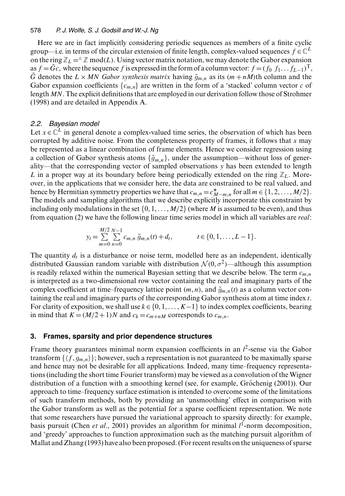Here we are in fact implicitly considering periodic sequences as members of a finite cyclic group—i.e. in terms of the circular extension of finite length, complex-valued sequences  $f \in \mathbb{C}^L$ on the ring  $\mathbb{Z}_L = \Delta \mathbb{Z}$  mod(*L*). Using vector matrix notation, we may denote the Gabor expansion as  $f = Gc$ , where the sequence f is expressed in the form of a column vector:  $f = (f_0 \, f_1 \dots f_{L-1})^T$ ,  $\tilde{G}$  denotes the  $L \times MN$  *Gabor synthesis matrix* having  $\tilde{g}_{m,n}$  as its  $(m + nM)$ th column and the Gabor expansion coefficients  $\{c_m\}$  are written in the form of a 'stacked' column vector c of length MN. The explicit definitions that are employed in our derivation follow those of Strohmer (1998) and are detailed in Appendix A.

# *2.2. Bayesian model*

Let  $x \in \mathbb{C}^L$  in general denote a complex-valued time series, the observation of which has been corrupted by additive noise. From the completeness property of frames, it follows that  $x$  may be represented as a linear combination of frame elements. Hence we consider regression using a collection of Gabor synthesis atoms  $\{\tilde{g}_{m,n}\}\$ , under the assumption—without loss of generality—that the corresponding vector of sampled observations y has been extended to length L in a proper way at its boundary before being periodically extended on the ring  $\mathbb{Z}_L$ . Moreover, in the applications that we consider here, the data are constrained to be real valued, and hence by Hermitian symmetry properties we have that  $c_{m,n} = c_M^* - m_n$  for all  $m \in \{1, 2, ..., M/2\}$ . The models and sampling algorithms that we describe explicitly incorporate this constraint by including only modulations in the set  $\{0, 1, \ldots, M/2\}$  (where M is assumed to be even), and thus from equation (2) we have the following linear time series model in which all variables are *real*:

$$
y_t = \sum_{m=0}^{M/2} \sum_{n=0}^{N-1} c_{m,n} \, \tilde{g}_{m,n}(t) + d_t, \qquad t \in \{0, 1, \ldots, L-1\}.
$$

The quantity  $d_t$  is a disturbance or noise term, modelled here as an independent, identically distributed Gaussian random variable with distribution  $\mathcal{N}(0, \sigma^2)$ —although this assumption is readily relaxed within the numerical Bayesian setting that we describe below. The term  $c_{m,n}$ is interpreted as a two-dimensional row vector containing the real and imaginary parts of the complex coefficient at time–frequency lattice point  $(m, n)$ , and  $\tilde{g}_{m,n}(t)$  as a column vector containing the real and imaginary parts of the corresponding Gabor synthesis atom at time index  $t$ . For clarity of exposition, we shall use  $k \in \{0, 1, \ldots, K-1\}$  to index complex coefficients, bearing in mind that  $K = (M/2+1)N$  and  $c_k = c_{m+nM}$  corresponds to  $c_{m,n}$ .

# **3. Frames, sparsity and prior dependence structures**

Frame theory guarantees minimal norm expansion coefficients in an  $l^2$ -sense via the Gabor transform  $\{\langle f, g_{m,n}\rangle\}$ ; however, such a representation is not guaranteed to be maximally sparse and hence may not be desirable for all applications. Indeed, many time–frequency representations (including the short time Fourier transform) may be viewed as a convolution of the Wigner distribution of a function with a smoothing kernel (see, for example, Gröchenig (2001)). Our approach to time–frequency surface estimation is intended to overcome some of the limitations of such transform methods, both by providing an 'unsmoothing' effect in comparison with the Gabor transform as well as the potential for a sparse coefficient representation. We note that some researchers have pursued the variational approach to sparsity directly: for example, basis pursuit (Chen *et al.*, 2001) provides an algorithm for minimal  $l^1$ -norm decomposition, and 'greedy' approaches to function approximation such as the matching pursuit algorithm of Mallat and Zhang (1993) have also been proposed. (For recent results on the uniqueness of sparse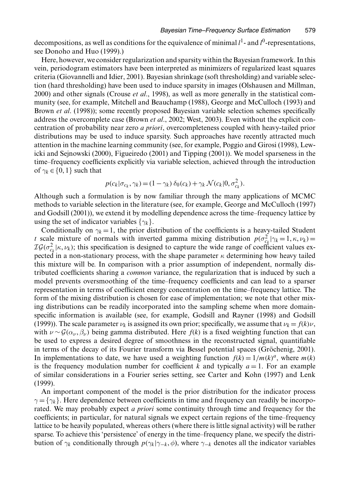decompositions, as well as conditions for the equivalence of minimal  $l^1$ - and  $l^0$ -representations, see Donoho and Huo (1999).)

Here, however, we consider regularization and sparsity within the Bayesian framework. In this vein, periodogram estimators have been interpreted as minimizers of regularized least squares criteria (Giovannelli and Idier, 2001). Bayesian shrinkage (soft thresholding) and variable selection (hard thresholding) have been used to induce sparsity in images (Olshausen and Millman, 2000) and other signals (Crouse *et al*., 1998), as well as more generally in the statistical community (see, for example, Mitchell and Beauchamp (1988), George and McCulloch (1993) and Brown *et al*. (1998)); some recently proposed Bayesian variable selection schemes specifically address the overcomplete case (Brown *et al*., 2002; West, 2003). Even without the explicit concentration of probability near zero *a priori*, overcompleteness coupled with heavy-tailed prior distributions may be used to induce sparsity. Such approaches have recently attracted much attention in the machine learning community (see, for example, Poggio and Girosi (1998), Lewicki and Sejnowski (2000), Figueiredo (2001) and Tipping (2001)). We model sparseness in the time–frequency coefficients explicitly via variable selection, achieved through the introduction of  $\gamma_k \in \{0, 1\}$  such that

$$
p(c_k|\sigma_{c_k},\gamma_k)=(1-\gamma_k)\,\delta_0(c_k)+\gamma_k\,\mathcal{N}(c_k|0,\sigma_{c_k}^2).
$$

Although such a formulation is by now familiar through the many applications of MCMC methods to variable selection in the literature (see, for example, George and McCulloch (1997) and Godsill (2001)), we extend it by modelling dependence across the time–frequency lattice by using the set of indicator variables  $\{\gamma_k\}$ .

Conditionally on  $\gamma_k = 1$ , the prior distribution of the coefficients is a heavy-tailed Student *t* scale mixture of normals with inverted gamma mixing distribution  $p(\sigma_{c_k}^2|\gamma_k=1, \kappa, \nu_k)=$ <br> $T G(\sigma^2|\kappa,\nu_k)$ ; this specification is designed to capture the wide range of coefficient values ex- $IG(\sigma_{c_k}^2|\kappa, \nu_k)$ ; this specification is designed to capture the wide range of coefficient values ex-<br>pected in a non-stationary process, with the shape parameter  $\kappa$  determining how heavy tailed pected in a non-stationary process, with the shape parameter  $\kappa$  determining how heavy tailed this mixture will be. In comparison with a prior assumption of independent, normally distributed coefficients sharing a *common* variance, the regularization that is induced by such a model prevents oversmoothing of the time–frequency coefficients and can lead to a sparser representation in terms of coefficient energy concentration on the time–frequency lattice. The form of the mixing distribution is chosen for ease of implementation; we note that other mixing distributions can be readily incorporated into the sampling scheme when more domainspecific information is available (see, for example, Godsill and Rayner (1998) and Godsill (1999)). The scale parameter  $\nu_k$  is assigned its own prior; specifically, we assume that  $\nu_k = f(k)\nu$ , with  $\nu \sim \mathcal{G}(\alpha_{\nu}, \beta_{\nu})$  being gamma distributed. Here  $f(k)$  is a fixed weighting function that can be used to express a desired degree of smoothness in the reconstructed signal, quantifiable in terms of the decay of its Fourier transform via Bessel potential spaces (Gröchenig, 2001). In implementations to date, we have used a weighting function  $f(k) = 1/m(k)^a$ , where  $m(k)$ is the frequency modulation number for coefficient k and typically  $a = 1$ . For an example of similar considerations in a Fourier series setting, see Carter and Kohn (1997) and Lenk (1999).

An important component of the model is the prior distribution for the indicator process  $\gamma = \{\gamma_k\}$ . Here dependence between coefficients in time and frequency can readily be incorporated. We may probably expect *a priori* some continuity through time and frequency for the coefficients; in particular, for natural signals we expect certain regions of the time–frequency lattice to be heavily populated, whereas others (where there is little signal activity) will be rather sparse. To achieve this 'persistence' of energy in the time–frequency plane, we specify the distribution of  $\gamma_k$  conditionally through  $p(\gamma_k|\gamma_{-k}, \phi)$ , where  $\gamma_{-k}$  denotes all the indicator variables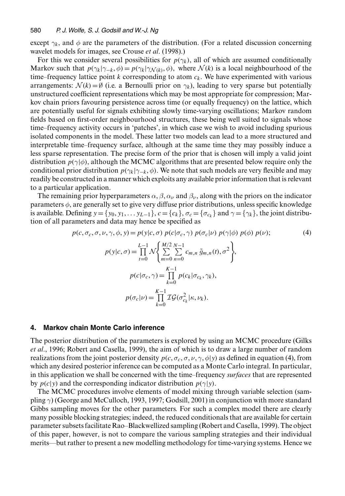except  $\gamma_k$ , and  $\phi$  are the parameters of the distribution. (For a related discussion concerning wavelet models for images, see Crouse *et al*. (1998).)

For this we consider several possibilities for  $p(\gamma_k)$ , all of which are assumed conditionally Markov such that  $p(\gamma_k|\gamma_{-k}, \phi) = p(\gamma_k|\gamma_{N(k)}, \phi)$ , where  $\mathcal{N}(k)$  is a local neighbourhood of the time–frequency lattice point k corresponding to atom  $c_k$ . We have experimented with various arrangements:  $\mathcal{N}(k) = \emptyset$  (i.e. a Bernoulli prior on  $\gamma_k$ ), leading to very sparse but potentially unstructured coefficient representations which may be most appropriate for compression; Markov chain priors favouring persistence across time (or equally frequency) on the lattice, which are potentially useful for signals exhibiting slowly time-varying oscillations; Markov random fields based on first-order neighbourhood structures, these being well suited to signals whose time–frequency activity occurs in 'patches', in which case we wish to avoid including spurious isolated components in the model. These latter two models can lead to a more structured and interpretable time–frequency surface, although at the same time they may possibly induce a less sparse representation. The precise form of the prior that is chosen will imply a valid joint distribution  $p(\gamma|\phi)$ , although the MCMC algorithms that are presented below require only the conditional prior distribution  $p(\gamma_k|\gamma_{-k}, \phi)$ . We note that such models are very flexible and may readily be constructed in a manner which exploits any available prior information that is relevant to a particular application.

The remaining prior hyperparameters  $\alpha, \beta, \alpha_{\nu}$  and  $\beta_{\nu}$ , along with the priors on the indicator parameters  $\phi$ , are generally set to give very diffuse prior distributions, unless specific knowledge is available. Defining  $y = \{y_0, y_1, \ldots, y_{L-1}\}, c = \{c_k\}, \sigma_c = \{\sigma_{c_k}\}\$ and  $\gamma = \{\gamma_k\}$ , the joint distribution of all parameters and data may hence be specified as

$$
p(c, \sigma_c, \sigma, \nu, \gamma, \phi, y) = p(y|c, \sigma) p(c|\sigma_c, \gamma) p(\sigma_c|\nu) p(\gamma|\phi) p(\phi) p(\nu);
$$
  
\n(4)  
\n
$$
p(y|c, \sigma) = \prod_{t=0}^{L-1} \mathcal{N} \left\{ \sum_{m=0}^{M/2} \sum_{n=0}^{N-1} c_{m,n} \tilde{g}_{m,n}(t), \sigma^2 \right\},
$$
  
\n
$$
p(c|\sigma_c, \gamma) = \prod_{k=0}^{K-1} p(c_k|\sigma_{c_k}, \gamma_k),
$$
  
\n
$$
p(\sigma_c|\nu) = \prod_{k=0}^{K-1} \mathcal{IG}(\sigma_{c_k}^2|\kappa, \nu_k).
$$

#### **4. Markov chain Monte Carlo inference**

The posterior distribution of the parameters is explored by using an MCMC procedure (Gilks *et al*., 1996; Robert and Casella, 1999), the aim of which is to draw a large number of random realizations from the joint posterior density  $p(c, \sigma_c, \sigma, \nu, \gamma, \phi|y)$  as defined in equation (4), from which any desired posterior inference can be computed as a Monte Carlo integral. In particular, in this application we shall be concerned with the time–frequency *surfaces* that are represented by  $p(c|y)$  and the corresponding indicator distribution  $p(\gamma|y)$ .

The MCMC procedures involve elements of model mixing through variable selection (sampling  $\gamma$ ) (George and McCulloch, 1993, 1997; Godsill, 2001) in conjunction with more standard Gibbs sampling moves for the other parameters. For such a complex model there are clearly many possible blocking strategies; indeed, the reduced conditionals that are available for certain parameter subsets facilitate Rao–Blackwellized sampling (Robert and Casella, 1999). The object of this paper, however, is not to compare the various sampling strategies and their individual merits—but rather to present a new modelling methodology for time-varying systems. Hence we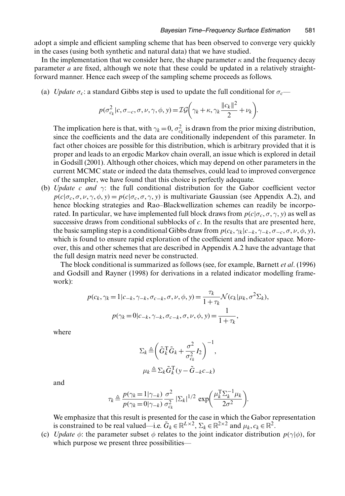adopt a simple and efficient sampling scheme that has been observed to converge very quickly in the cases (using both synthetic and natural data) that we have studied.

In the implementation that we consider here, the shape parameter  $\kappa$  and the frequency decay parameter a are fixed, although we note that these could be updated in a relatively straightforward manner. Hence each sweep of the sampling scheme proceeds as follows.

(a) *Update*  $\sigma_c$ : a standard Gibbs step is used to update the full conditional for  $\sigma_c$ —

$$
p(\sigma_{c_k}^2|c, \sigma_{-c}, \sigma, \nu, \gamma, \phi, y) = \mathcal{IG}\left(\gamma_k + \kappa, \gamma_k \frac{\|c_k\|^2}{2} + \nu_k\right).
$$

The implication here is that, with  $\gamma_k = 0$ ,  $\sigma_{c_k}^2$  is drawn from the prior mixing distribution, since the coefficients and the data are conditionally independent of this parameter. In since the coefficients and the data are conditionally independent of this parameter. In fact other choices are possible for this distribution, which is arbitrary provided that it is proper and leads to an ergodic Markov chain overall, an issue which is explored in detail in Godsill (2001). Although other choices, which may depend on other parameters in the current MCMC state or indeed the data themselves, could lead to improved convergence of the sampler, we have found that this choice is perfectly adequate.

(b) *Update* <sup>c</sup> *and* γ: the full conditional distribution for the Gabor coefficient vector  $p(c|\sigma_c, \sigma, \nu, \gamma, \phi, \gamma) = p(c|\sigma_c, \sigma, \gamma, \gamma)$  is multivariate Gaussian (see Appendix A.2), and hence blocking strategies and Rao–Blackwellization schemes can readily be incorporated. In particular, we have implemented full block draws from  $p(c|\sigma_c, \sigma, \gamma, y)$  as well as successive draws from conditional subblocks of  $c$ . In the results that are presented here, the basic sampling step is a conditional Gibbs draw from  $p(c_k, \gamma_k|c_{-k}, \gamma_{-k}, \sigma_{-c}, \sigma, \nu, \phi, y)$ , which is found to ensure rapid exploration of the coefficient and indicator space. Moreover, this and other schemes that are described in Appendix A.2 have the advantage that the full design matrix need never be constructed.

The block conditional is summarized as follows (see, for example, Barnett *et al*. (1996) and Godsill and Rayner (1998) for derivations in a related indicator modelling framework):

$$
p(c_k, \gamma_k = 1 | c_{-k}, \gamma_{-k}, \sigma_{c-k}, \sigma, \nu, \phi, y) = \frac{\tau_k}{1 + \tau_k} \mathcal{N}(c_k | \mu_k, \sigma^2 \Sigma_k),
$$
  

$$
p(\gamma_k = 0 | c_{-k}, \gamma_{-k}, \sigma_{c-k}, \sigma, \nu, \phi, y) = \frac{1}{1 + \tau_k},
$$

where

$$
\Sigma_k \triangleq \left( \tilde{G}_k^{\mathrm{T}} \tilde{G}_k + \frac{\sigma^2}{\sigma_{c_k}^2} I_2 \right)^{-1},
$$
  

$$
\mu_k \triangleq \Sigma_k \tilde{G}_k^{\mathrm{T}} (y - \tilde{G}_{-k} c_{-k})
$$

and

$$
\tau_k \triangleq \frac{p(\gamma_k = 1 | \gamma_{-k})}{p(\gamma_k = 0 | \gamma_{-k})} \frac{\sigma^2}{\sigma_{c_k}^2} |\Sigma_k|^{1/2} \exp\left(\frac{\mu_k^T \Sigma_k^{-1} \mu_k}{2\sigma^2}\right).
$$

We emphasize that this result is presented for the case in which the Gabor representation is constrained to be real valued—i.e.  $\tilde{G}_k \in \mathbb{R}^{L \times 2}$ ,  $\Sigma_k \in \mathbb{R}^{2 \times 2}$  and  $\mu_k$ ,  $c_k \in \mathbb{R}^2$ .

(c) *Update*  $\phi$ : the parameter subset  $\phi$  relates to the joint indicator distribution  $p(\gamma|\phi)$ , for which purpose we present three possibilities—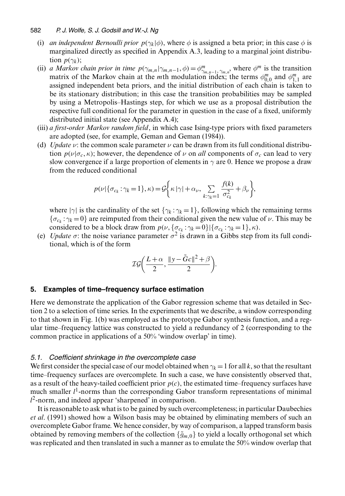- (i) *an independent Bernoulli prior*  $p(\gamma_k|\phi)$ , where  $\phi$  is assigned a beta prior; in this case  $\phi$  is marginalized directly as specified in Appendix A.3, leading to a marginal joint distribution  $p(\gamma_k)$ ;
- (ii) *a Markov chain prior in time*  $p(\gamma_{m,n}|\gamma_{m,n-1},\phi) = \phi_{\gamma_{m,n-1}}^m$ , where  $\phi^m$  is the transition matrix of the Markov chain at the *m*<sub>th</sub> modulation index the terms  $\phi^m$  and  $\phi^m$ , are matrix of the Markov chain at the *m*th modulation index; the terms  $\phi_{0,0}^m$  and  $\phi_{1,1}^m$  are<br>assigned independent beta priors, and the initial distribution of each chain is taken to assigned independent beta priors, and the initial distribution of each chain is taken to be its stationary distribution; in this case the transition probabilities may be sampled by using a Metropolis–Hastings step, for which we use as a proposal distribution the respective full conditional for the parameter in question in the case of a fixed, uniformly distributed initial state (see Appendix A.4);
- (iii) *a first-order Markov random field*, in which case Ising-type priors with fixed parameters are adopted (see, for example, Geman and Geman (1984)).
- (d) *Update*  $\nu$ : the common scale parameter  $\nu$  can be drawn from its full conditional distribution  $p(\nu|\sigma_c, \kappa)$ ; however, the dependence of  $\nu$  on *all* components of  $\sigma_c$  can lead to very slow convergence if a large proportion of elements in  $\gamma$  are 0. Hence we propose a draw from the reduced conditional

$$
p(\nu|\{\sigma_{c_k}:\gamma_k=1\},\kappa)=\mathcal{G}\bigg\{\kappa|\gamma|+\alpha_{\nu},\sum_{k:\gamma_k=1}\frac{f(k)}{\sigma_{c_k}^2}+\beta_{\nu}\bigg\},\,
$$

where  $|\gamma|$  is the cardinality of the set  $\{\gamma_k : \gamma_k = 1\}$ , following which the remaining terms  $\{\sigma_{c_k} : \gamma_k = 0\}$  are reimputed from their conditional given the new value of  $\nu$ . This may be considered to be a block draw from  $p(\nu, {\{\sigma_{c_k} : \gamma_k = 0\}} | {\{\sigma_{c_k} : \gamma_k = 1\}}, \kappa)$ .

(e) *Update*  $\sigma$ : the noise variance parameter  $\sigma^2$  is drawn in a Gibbs step from its full conditional, which is of the form

$$
\mathcal{IG}\left(\frac{L+\alpha}{2},\frac{\|y-\tilde{G}c\|^2+\beta}{2}\right).
$$

### **5. Examples of time–frequency surface estimation**

Here we demonstrate the application of the Gabor regression scheme that was detailed in Section 2 to a selection of time series. In the experiments that we describe, a window corresponding to that shown in Fig. 1(b) was employed as the prototype Gabor synthesis function, and a regular time–frequency lattice was constructed to yield a redundancy of 2 (corresponding to the common practice in applications of a 50% 'window overlap' in time).

#### *5.1. Coefficient shrinkage in the overcomplete case*

We first consider the special case of our model obtained when  $\gamma_k = 1$  for all k, so that the resultant time–frequency surfaces are overcomplete. In such a case, we have consistently observed that, as a result of the heavy-tailed coefficient prior  $p(c)$ , the estimated time–frequency surfaces have much smaller  $l<sup>1</sup>$ -norms than the corresponding Gabor transform representations of minimal  $l^2$ -norm, and indeed appear 'sharpened' in comparison.

It is reasonable to ask what is to be gained by such overcompleteness; in particular Daubechies *et al*. (1991) showed how a Wilson basis may be obtained by eliminating members of such an overcomplete Gabor frame. We hence consider, by way of comparison, a lapped transform basis obtained by removing members of the collection  $\{\tilde{g}_{m,0}\}$  to yield a locally orthogonal set which was replicated and then translated in such a manner as to emulate the 50% window overlap that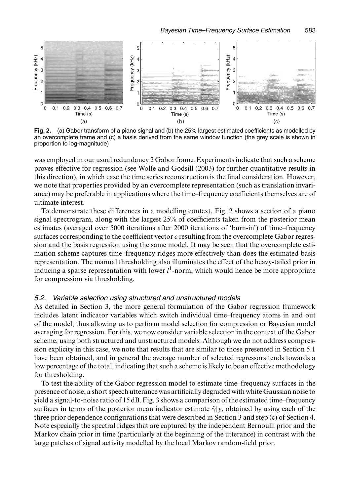

**Fig. 2.** (a) Gabor transform of a piano signal and (b) the 25% largest estimated coefficients as modelled by an overcomplete frame and (c) a basis derived from the same window function (the grey scale is shown in proportion to log-magnitude)

was employed in our usual redundancy 2 Gabor frame. Experiments indicate that such a scheme proves effective for regression (see Wolfe and Godsill (2003) for further quantitative results in this direction), in which case the time series reconstruction is the final consideration. However, we note that properties provided by an overcomplete representation (such as translation invariance) may be preferable in applications where the time–frequency coefficients themselves are of ultimate interest.

To demonstrate these differences in a modelling context, Fig. 2 shows a section of a piano signal spectrogram, along with the largest 25% of coefficients taken from the posterior mean estimates (averaged over 5000 iterations after 2000 iterations of 'burn-in') of time–frequency surfaces corresponding to the coefficient vector  $c$  resulting from the overcomplete Gabor regression and the basis regression using the same model. It may be seen that the overcomplete estimation scheme captures time–frequency ridges more effectively than does the estimated basis representation. The manual thresholding also illuminates the effect of the heavy-tailed prior in inducing a sparse representation with lower  $l^1$ -norm, which would hence be more appropriate for compression via thresholding.

### *5.2. Variable selection using structured and unstructured models*

As detailed in Section 3, the more general formulation of the Gabor regression framework includes latent indicator variables which switch individual time–frequency atoms in and out of the model, thus allowing us to perform model selection for compression or Bayesian model averaging for regression. For this, we now consider variable selection in the context of the Gabor scheme, using both structured and unstructured models. Although we do not address compression explicity in this case, we note that results that are similar to those presented in Section 5.1 have been obtained, and in general the average number of selected regressors tends towards a low percentage of the total, indicating that such a scheme is likely to be an effective methodology for thresholding.

To test the ability of the Gabor regression model to estimate time–frequency surfaces in the presence of noise, a short speech utterance was artificially degraded with white Gaussian noise to yield a signal-to-noise ratio of 15 dB. Fig. 3 shows a comparison of the estimated time–frequency surfaces in terms of the posterior mean indicator estimate  $\hat{\gamma}|y$ , obtained by using each of the three prior dependence configurations that were described in Section 3 and step (c) of Section 4. Note especially the spectral ridges that are captured by the independent Bernoulli prior and the Markov chain prior in time (particularly at the beginning of the utterance) in contrast with the large patches of signal activity modelled by the local Markov random-field prior.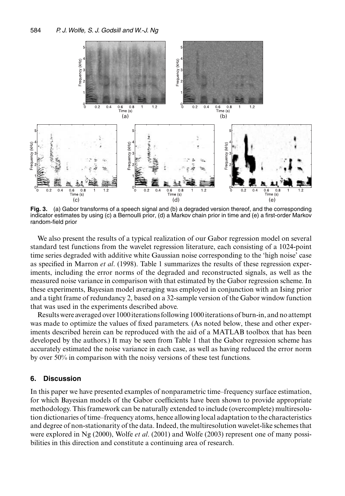

**Fig. 3.** (a) Gabor transforms of a speech signal and (b) a degraded version thereof, and the corresponding indicator estimates by using (c) a Bernoulli prior, (d) a Markov chain prior in time and (e) a first-order Markov random-field prior

We also present the results of a typical realization of our Gabor regression model on several standard test functions from the wavelet regression literature, each consisting of a 1024-point time series degraded with additive white Gaussian noise corresponding to the 'high noise' case as specified in Marron *et al*. (1998). Table 1 summarizes the results of these regression experiments, including the error norms of the degraded and reconstructed signals, as well as the measured noise variance in comparison with that estimated by the Gabor regression scheme. In these experiments, Bayesian model averaging was employed in conjunction with an Ising prior and a tight frame of redundancy 2, based on a 32-sample version of the Gabor window function that was used in the experiments described above.

Results were averaged over 1000 iterations following 1000 iterations of burn-in, and no attempt was made to optimize the values of fixed parameters. (As noted below, these and other experiments described herein can be reproduced with the aid of a MATLAB toolbox that has been developed by the authors.) It may be seen from Table 1 that the Gabor regression scheme has accurately estimated the noise variance in each case, as well as having reduced the error norm by over 50% in comparison with the noisy versions of these test functions.

#### **6. Discussion**

In this paper we have presented examples of nonparametric time–frequency surface estimation, for which Bayesian models of the Gabor coefficients have been shown to provide appropriate methodology. This framework can be naturally extended to include (overcomplete) multiresolution dictionaries of time–frequency atoms, hence allowing local adaptation to the characteristics and degree of non-stationarity of the data. Indeed, the multiresolution wavelet-like schemes that were explored in Ng (2000), Wolfe *et al*. (2001) and Wolfe (2003) represent one of many possibilities in this direction and constitute a continuing area of research.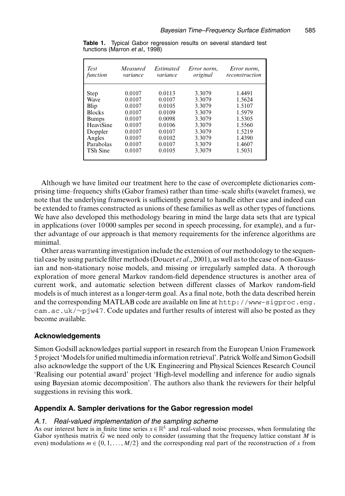| <b>Test</b>     | Measured | Estimated | Error norm, | Error norm,    |
|-----------------|----------|-----------|-------------|----------------|
| function        | variance | variance  | original    | reconstruction |
| Step            | 0.0107   | 0.0113    | 3.3079      | 1.4491         |
| Wave            | 0.0107   | 0.0107    | 3.3079      | 1.5624         |
| Blip            | 0.0107   | 0.0105    | 3.3079      | 1.5107         |
| <b>Blocks</b>   | 0.0107   | 0.0109    | 3.3079      | 1.5979         |
| <b>Bumps</b>    | 0.0107   | 0.0098    | 3.3079      | 1.5305         |
| HeaviSine       | 0.0107   | 0.0106    | 3.3079      | 1.5560         |
| Doppler         | 0.0107   | 0.0107    | 3.3079      | 1.5219         |
| Angles          | 0.0107   | 0.0102    | 3.3079      | 1.4390         |
| Parabolas       | 0.0107   | 0.0107    | 3.3079      | 1.4607         |
| <b>TSh Sine</b> | 0.0107   | 0.0105    | 3.3079      | 1.5031         |

**Table 1.** Typical Gabor regression results on several standard test functions (Marron *et al*., 1998)

Although we have limited our treatment here to the case of overcomplete dictionaries comprising time–frequency shifts (Gabor frames) rather than time–scale shifts (wavelet frames), we note that the underlying framework is sufficiently general to handle either case and indeed can be extended to frames constructed as unions of these families as well as other types of functions. We have also developed this methodology bearing in mind the large data sets that are typical in applications (over 10 000 samples per second in speech processing, for example), and a further advantage of our approach is that memory requirements for the inference algorithms are minimal.

Other areas warranting investigation include the extension of our methodology to the sequential case by using particle filter methods (Doucet *et al*., 2001), as well as to the case of non-Gaussian and non-stationary noise models, and missing or irregularly sampled data. A thorough exploration of more general Markov random-field dependence structures is another area of current work, and automatic selection between different classes of Markov random-field models is of much interest as a longer-term goal. As a final note, both the data described herein and the corresponding MATLAB code are available on line at http://www-sigproc.eng. cam.ac.uk/∼pjw47. Code updates and further results of interest will also be posted as they become available.

# **Acknowledgements**

Simon Godsill acknowledges partial support in research from the European Union Framework 5 project 'Models for unified multimedia information retrieval'. PatrickWolfe and Simon Godsill also acknowledge the support of the UK Engineering and Physical Sciences Research Council 'Realising our potential award' project 'High-level modelling and inference for audio signals using Bayesian atomic decomposition'. The authors also thank the reviewers for their helpful suggestions in revising this work.

# **Appendix A. Sampler derivations for the Gabor regression model**

#### *A.1. Real-valued implementation of the sampling scheme*

As our interest here is in finite time series  $x \in \mathbb{R}^L$  and real-valued noise processes, when formulating the Gabor synthesis matrix  $\tilde{G}$  we need only to consider (assuming that the frequency lattice constant M is even) modulations  $m \in \{0, 1, \ldots, M/2\}$  and the corresponding real part of the reconstruction of x from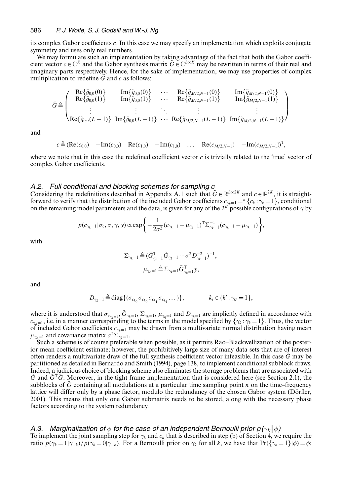its complex Gabor coefficients c. In this case we may specify an implementation which exploits conjugate symmetry and uses only real numbers.

We may formulate such an implementation by taking advantage of the fact that both the Gabor coefficient vector  $c \in \mathbb{C}^K$  and the Gabor synthesis matrix  $\tilde{G} \in \mathbb{C}^{L \times K}$  may be rewritten in terms of their real and imaginary parts respectively. Hence, for the sake of implementation, we may use properties of complex multiplication to redefine  $\tilde{G}$  and c as follows:

$$
\tilde{G} \triangleq \begin{pmatrix}\n\text{Re}\{\tilde{g}_{0,0}(0)\} & \text{Im}\{\tilde{g}_{0,0}(0)\} & \cdots & \text{Re}\{\tilde{g}_{M/2,N-1}(0)\} & \text{Im}\{\tilde{g}_{M/2,N-1}(0)\} \\
\text{Re}\{\tilde{g}_{0,0}(1)\} & \text{Im}\{\tilde{g}_{0,0}(1)\} & \cdots & \text{Re}\{\tilde{g}_{M/2,N-1}(1)\} & \text{Im}\{\tilde{g}_{M/2,N-1}(1)\} \\
\vdots & \vdots & \ddots & \vdots & \vdots \\
\text{Re}\{\tilde{g}_{0,0}(L-1)\} & \text{Im}\{\tilde{g}_{0,0}(L-1)\} & \cdots & \text{Re}\{\tilde{g}_{M/2,N-1}(L-1)\} & \text{Im}\{\tilde{g}_{M/2,N-1}(L-1)\}\n\end{pmatrix}
$$

and

 $c \triangleq (\text{Re}(c_{0,0}) - \text{Im}(c_{0,0}) \text{ Re}(c_{1,0}) - \text{Im}(c_{1,0}) \text{ ... } \text{Re}(c_{M/2,N-1}) - \text{Im}(c_{M/2,N-1})^{\text{T}},$ 

where we note that in this case the redefined coefficient vector  $c$  is trivially related to the 'true' vector of complex Gabor coefficients.

#### *A.2. Full conditional and blocking schemes for sampling c*

Considering the redefinitions described in Appendix A.1 such that  $\tilde{G} \in \mathbb{R}^{L \times 2K}$  and  $c \in \mathbb{R}^{2K}$ , it is straightforward to verify that the distribution of the included Gabor coefficients  $c_{\gamma_k=1} = \{c_k : \gamma_k=1\}$ , conditional on the remaining model parameters and the data, is given for any of the  $2^{K}$  possible configurations of  $\gamma$  by

$$
p(c_{\gamma_k=1}|\sigma_c, \sigma, \gamma, y) \propto \exp\bigg\{-\frac{1}{2\sigma^2}(c_{\gamma_k=1} - \mu_{\gamma_k=1})^T \Sigma_{\gamma_k=1}^{-1} (c_{\gamma_k=1} - \mu_{\gamma_k=1})\bigg\},\,
$$

with

$$
\Sigma_{\gamma_{k}=1} \stackrel{\Delta}=(\tilde{G}_{\gamma_{k}=1}^{T}\tilde{G}_{\gamma_{k}=1} + \sigma^{2} D_{\gamma_{k}=1}^{-2})^{-1},
$$
  

$$
\mu_{\gamma_{k}=1} \stackrel{\Delta}=\Sigma_{\gamma_{k}=1} \tilde{G}_{\gamma_{k}=1}^{T} y,
$$

and

$$
D_{\gamma_k=1} \triangleq \text{diag}\{(\sigma_{c_{k_0}}\sigma_{c_{k_1}}\sigma_{c_{k_1}}\ldots)\}, \qquad k_i \in \{k': \gamma_{k'}=1\},\
$$

where it is understood that  $\sigma_{c_{\gamma_k=1}}, \tilde{G}_{\gamma_k=1}, \Sigma_{\gamma_k=1}, \mu_{\gamma_k=1}$  and  $D_{\gamma_k=1}$  are implicitly defined in accordance with  $c_{\gamma_k=1}$ , i.e. in a manner corresponding to the terms in the model specified by  $\{\gamma_k : \gamma_k = 1\}$ . Thus, the vector of included Gabor coefficients  $c_{\gamma_k}$ , may be drawn from a multivariate normal distribution having mean of included Gabor coefficients  $c_{\gamma_k=1}$  may be drawn from a multivariate normal distribution having mean  $\mu_{\gamma_k=1}$  and covariance matrix  $\sigma^2 \Sigma_{\gamma_k=1}$ .

Such a scheme is of course preferable when possible, as it permits Rao–Blackwellization of the posterior mean coefficient estimate; however, the prohibitively large size of many data sets that are of interest often renders a multivariate draw of the full synthesis coefficient vector infeasible. In this case  $\tilde{G}$  may be partitioned as detailed in Bernardo and Smith (1994), page 138, to implement conditional subblock draws. Indeed, a judicious choice of blocking scheme also eliminates the storage problems that are associated with  $\tilde{G}$  and  $\tilde{G}^T\tilde{G}$ . Moreover, in the tight frame implementation that is considered here (see Section 2.1), the subblocks of G containing all modulations at a particular time sampling point  $n$  on the time–frequency lattice will differ only by a phase factor, modulo the redundancy of the chosen Gabor system (Dörfler, 2001). This means that only one Gabor submatrix needs to be stored, along with the necessary phase factors according to the system redundancy.

#### *A.3. Marginalization of*  $\phi$  *for the case of an independent Bernoulli prior*  $p(\gamma_k|\phi)$

To implement the joint sampling step for  $\gamma_k$  and  $c_k$  that is described in step (b) of Section 4, we require the ratio  $p(\gamma_k = 1|\gamma_{-k})/p(\gamma_k = 0|\gamma_{-k})$ . For a Bernoulli prior on  $\gamma_k$  for all k, we have that Pr({ $\gamma_k = 1$ }| $\phi$ ) =  $\phi$ ;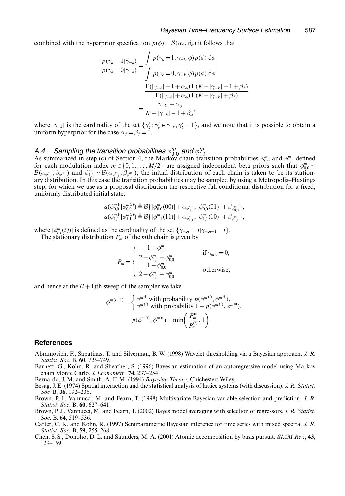combined with the hyperprior specification  $p(\phi) = B(\alpha_{\phi}, \beta_{\phi})$  it follows that

$$
\frac{p(\gamma_k = 1 | \gamma_{-k})}{p(\gamma_k = 0 | \gamma_{-k})} = \frac{\int p(\gamma_k = 1, \gamma_{-k} | \phi) p(\phi) d\phi}{\int p(\gamma_k = 0, \gamma_{-k} | \phi) p(\phi) d\phi}
$$

$$
= \frac{\Gamma(|\gamma_{-k}| + 1 + \alpha_{\phi}) \Gamma(K - |\gamma_{-k}| - 1 + \beta_{\phi})}{\Gamma(|\gamma_{-k}| + \alpha_{\phi}) \Gamma(K - |\gamma_{-k}| + \beta_{\phi})}
$$

$$
= \frac{|\gamma_{-k}| + \alpha_{\phi}}{K - |\gamma_{-k}| - 1 + \beta_{\phi}},
$$

where  $|\gamma_{-k}|$  is the cardinality of the set  $\{\gamma_k : \gamma_k \in \gamma_{-k}, \gamma_k = 1\}$ , and we note that it is possible to obtain a uniform hyperprior for the case  $\alpha_k = \beta_k = 1$ uniform hyperprior for the case  $\alpha_{\phi} = \beta_{\phi} = 1$ .

*A.4. Sampling the transition probabilities*  $\phi_{0,0}^m$  *and*  $\phi_{1,1}^m$ <br>As summarized in step (c) of Section 4, the Markov chain transition probabilities  $\phi_{0,0}^m$  and  $\phi_{1,1}^m$  defined<br>for each modulation index for each modulation index  $m \in \{0, 1, ..., M/2\}$  are assigned independent beta priors such that  $\phi_{0,0}^m \sim \mathcal{B}(\alpha_m, \beta_m)$ .  $\mathcal{B}(\alpha_{\phi_{0,0}^m}, \beta_{\phi_{0,0}^m})$  and  $\phi_{1,1}^m \sim \mathcal{B}(\alpha_{\phi_{1,1}^m}, \beta_{\phi_{1,1}^m})$ ; the initial distribution of each chain is taken to be its station-<br>ary distribution. In this case the transition probabilities may be s ary distribution. In this case the transition probabilities may be sampled by using a Metropolis–Hastings step, for which we use as a proposal distribution the respective full conditional distribution for a fixed, uniformly distributed initial state:

$$
q(\phi_{0,0}^{m*}|\phi_{0,0}^{m(i)}) \stackrel{\Delta}{=} \mathcal{B}\{|\phi_{0,0}^{m}(00)| + \alpha_{\phi_{0,0}^{m}}, |\phi_{0,0}^{m}(01)| + \beta_{\phi_{0,0}^{m}}\},
$$
  

$$
q(\phi_{1,1}^{m*}|\phi_{1,1}^{m(i)}) \stackrel{\Delta}{=} \mathcal{B}\{|\phi_{1,1}^{m}(11)| + \alpha_{\phi_{1,1}^{m}}, |\phi_{1,1}^{m}(10)| + \beta_{\phi_{1,1}^{m}}\},
$$

where  $|\phi_{i,i}^m(ij)|$  is defined as the cardinality of the set  $\{\gamma_{m,n} = j | \gamma_{m,n-1} = i\}$ .<br>The stationary distribution P of the mth chain is given by The stationary distribution  $P_m$  of the *m*th chain is given by

$$
P_m = \begin{cases} \frac{1 - \phi_{1,1}^m}{2 - \phi_{1,1}^m - \phi_{0,0}^m} & \text{if } \gamma_{m,0} = 0, \\ \frac{1 - \phi_{0,0}^m}{2 - \phi_{1,1}^m - \phi_{0,0}^m} & \text{otherwise,} \end{cases}
$$

and hence at the  $(i+1)$ th sweep of the sampler we take

$$
\phi^{m(i+1)} = \begin{cases} \phi^{m*} \text{ with probability } p(\phi^{m(i)}, \phi^{m*}), \\ \phi^{m(i)} \text{ with probability } 1 - p(\phi^{m(i)}, \phi^{m*}), \end{cases}
$$

$$
p(\phi^{m(i)}, \phi^{m*}) = \min\left(\frac{P_m^*}{P_m^{(i)}}, 1\right).
$$

#### **References**

- Abramovich, F., Sapatinas, T. and Silverman, B. W. (1998) Wavelet thresholding via a Bayesian approach. *J. R. Statist. Soc.* B, **60**, 725–749.
- Barnett, G., Kohn, R. and Sheather, S. (1996) Bayesian estimation of an autoregressive model using Markov chain Monte Carlo. *J. Econometr.*, **74**, 237–254.

Bernardo, J. M. and Smith, A. F. M. (1994) *Bayesian Theory*. Chichester: Wiley.

Besag, J. E. (1974) Spatial interaction and the statistical analysis of lattice systems (with discussion). *J. R. Statist. Soc.* B, **36**, 192–236.

Brown, P. J., Vannucci, M. and Fearn, T. (1998) Multivariate Bayesian variable selection and prediction. *J. R. Statist. Soc*. B, **60**, 627–641.

Brown, P. J., Vannucci, M. and Fearn, T. (2002) Bayes model averaging with selection of regressors. *J. R. Statist. Soc*. B, **64**, 519–536.

Carter, C. K. and Kohn, R. (1997) Semiparametric Bayesian inference for time series with mixed spectra. *J. R. Statist. Soc*. B, **59**, 255–268.

Chen, S. S., Donoho, D. L. and Saunders, M. A. (2001) Atomic decomposition by basis pursuit. *SIAM Rev.*, **43**, 129–159.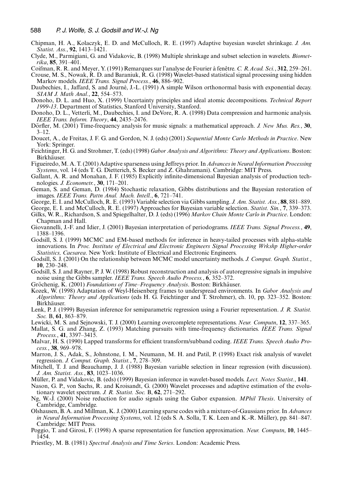- Chipman, H. A., Kolaczyk, E. D. and McCulloch, R. E. (1997) Adaptive bayesian wavelet shrinkage. *J. Am. Statist. Ass.*, **92**, 1413–1421.
- Clyde, M., Parmigiani, G. and Vidakovic, B. (1998) Multiple shrinkage and subset selection in wavelets. *Biometrika*, **85**, 391–401.
- Coifman, R. R. and Meyer, Y. (1991) Remarques sur l'analyse de Fourier à fenêtre. C. R. Acad. Sci., 312, 259–261.
- Crouse, M. S., Nowak, R. D. and Baraniuk, R. G. (1998) Wavelet-based statistical signal processing using hidden Markov models. *IEEE Trans. Signal Process.*, **46**, 886–902.
- Daubechies, I., Jaffard, S. and Journé, J.-L. (1991) A simple Wilson orthonormal basis with exponential decay. *SIAM J. Math Anal.*, **22**, 554–573.
- Donoho, D. L. and Huo, X. (1999) Uncertainty principles and ideal atomic decompositions. *Technical Report 1999-13*. Department of Statistics, Stanford University, Stanford.
- Donoho, D. L., Vetterli, M., Daubechies, I. and DeVore, R. A. (1998) Data compression and harmonic analysis. *IEEE Trans. Inform. Theory*, **44**, 2435–2476.
- Dörfler, M. (2001) Time-frequency analysis for music signals: a mathematical approach. *J. New Mus. Res.*, 30,  $3 - 12$ .
- Doucet, A., de Freitas, J. F. G. and Gordon, N. J. (eds) (2001) *Sequential Monte Carlo Methods in Practice*. New York: Springer.
- Feichtinger, H. G. and Strohmer, T. (eds) (1998) *Gabor Analysis and Algorithms: Theory and Applications*. Boston: Birkhäuser.
- Figueiredo, M. A. T. (2001) Adaptive sparseness using Jeffreys prior. In *Advances in Neural Information Processing Systems*, vol. 14 (eds T. G. Dietterich, S. Becker and Z. Ghahramani). Cambridge: MIT Press.
- Gallant, A. R. and Monahan, J. F. (1985) Explicitly infinite-dimensional Bayesian analysis of production technologies. *J. Econometr.*, **30**, 171–201.
- Geman, S. and Geman, D. (1984) Stochastic relaxation, Gibbs distributions and the Bayesian restoration of images. *IEEE Trans. Pattn Anal. Mach. Intell.*, **6**, 721–741.
- George, E. I. and McCulloch, R. E. (1993) Variable selection via Gibbs sampling. *J. Am. Statist. Ass.*, **88**, 881–889.
- George, E. I. and McCulloch, R. E. (1997) Approaches for Bayesian variable selection. *Statist. Sin.*, **7**, 339–373.
- Gilks, W. R., Richardson, S. and Spiegelhalter, D. J. (eds) (1996) *Markov Chain Monte Carlo in Practice*. London: Chapman and Hall.
- Giovannelli, J.-F. and Idier, J. (2001) Bayesian interpretation of periodograms. *IEEE Trans. Signal Process.*, **49**, 1388–1396.
- Godsill, S. J. (1999) MCMC and EM-based methods for inference in heavy-tailed processes with alpha-stable innovations. In *Proc. Institute of Electrical and Electronic Engineers Signal Processing Wrkshp Higher-order Statistics, Caesarea*. New York: Institute of Electrical and Electronic Engineers.
- Godsill, S. J. (2001) On the relationship between MCMC model uncertainty methods. *J. Comput. Graph. Statist.*, **10**, 230–248.
- Godsill, S. J. and Rayner, P. J. W. (1998) Robust reconstruction and analysis of autoregressive signals in impulsive noise using the Gibbs sampler. *IEEE Trans. Speech Audio Process.*, **6**, 352–372.
- Gröchenig, K. (2001) *Foundations of Time–Frequency Analysis*. Boston: Birkhäuser.
- Kozek, W. (1998) Adaptation of Weyl-Heisenberg frames to underspread environments. In *Gabor Analysis and Algorithms: Theory and Applications* (eds H. G. Feichtinger and T. Strohmer), ch. 10, pp. 323–352. Boston: Birkhäuser.
- Lenk, P. J. (1999) Bayesian inference for semiparametric regression using a Fourier representation. *J. R. Statist. Soc.* B, **61**, 863–879.
- Lewicki, M. S. and Sejnowski, T. J. (2000) Learning overcomplete representations. *Neur. Computn*, **12**, 337–365.
- Mallat, S. G. and Zhang, Z. (1993) Matching pursuits with time-frequency dictionaries. *IEEE Trans. Signal Process.*, **41**, 3397–3415.
- Malvar, H. S. (1990) Lapped transforms for efficient transform/subband coding. *IEEE Trans. Speech Audio Process.*, **38**, 969–978.
- Marron, J. S., Adak, S., Johnstone, I. M., Neumann, M. H. and Patil, P. (1998) Exact risk analysis of wavelet regression. *J. Comput. Graph. Statist.*, **7**, 278–309.
- Mitchell, T. J. and Beauchamp, J. J. (1988) Bayesian variable selection in linear regression (with discussion). *J. Am. Statist. Ass.*, **83**, 1023–1036.
- Müller, P. and Vidakovic, B. (eds) (1999) Bayesian inference in wavelet-based models. Lect. Notes Statist., 141.
- Nason, G. P., von Sachs, R. and Kroisandt, G. (2000) Wavelet processes and adaptive estimation of the evolutionary wavelet spectrum. *J. R. Statist. Soc.* B, **62**, 271–292.
- Ng, W.-J. (2000) Noise reduction for audio signals using the Gabor expansion. *MPhil Thesis*. University of Cambridge, Cambridge.
- Olshausen, B. A. and Millman, K. J. (2000) Learning sparse codes with a mixture-of-Gaussians prior. In *Advances in Neural Information Processing Systems*, vol. 12 (eds S. A. Solla, T. K. Leen and K.-R. Muller), pp. 841–847. ¨ Cambridge: MIT Press.
- Poggio, T. and Girosi, F. (1998) A sparse representation for function approximation. *Neur. Computn*, **10**, 1445– 1454.
- Priestley, M. B. (1981) *Spectral Analysis and Time Series*. London: Academic Press.